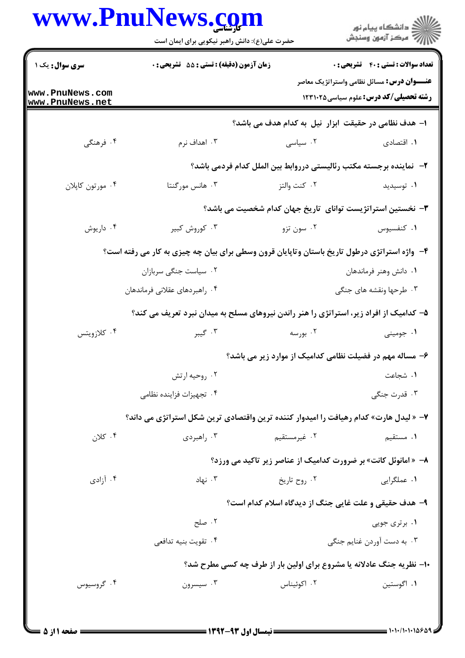|                                    | حضرت علی(ع): دانش راهبر نیکویی برای ایمان است                                                |                                                                      | ِ<br>∭ دانشڪاه پيام نور<br>∭ مرڪز آزمون وسنڊش                                                     |
|------------------------------------|----------------------------------------------------------------------------------------------|----------------------------------------------------------------------|---------------------------------------------------------------------------------------------------|
| سری سوال: یک ۱                     | زمان آزمون (دقیقه) : تستی : 55 آتشریحی : 0                                                   |                                                                      | <b>تعداد سوالات : تستی : 40 قشریحی : 0</b>                                                        |
| www.PnuNews.com<br>www.PnuNews.net |                                                                                              |                                                                      | <b>عنـــوان درس:</b> مسائل نظامی واستراتژیک معاصر<br><b>رشته تحصیلی/کد درس:</b> علوم سیاسی1۲۳۱۰۲۵ |
|                                    |                                                                                              | ا- هدف نظامی در حقیقت ابزار نیل به کدام هدف می باشد؟                 |                                                                                                   |
| ۰۴ فرهنگی                          | ۰۳ اهداف نرم                                                                                 | ۰۲ سیاسی                                                             | ۰۱ اقتصادی                                                                                        |
|                                    |                                                                                              | ۲-  نماینده برجسته مکتب رئالیستی درروابط بین الملل کدام فردمی باشد؟  |                                                                                                   |
| ۰۴ مورتون كاپلان                   | ۰۳ هانس مورگنتا                                                                              | ۰۲ کنت والتز                                                         | ۰۱ توسیدید                                                                                        |
|                                    |                                                                                              | ۳- نخستین استراتژیست توانای ِتاریخ جهان کدام شخصیت می باشد؟          |                                                                                                   |
| ۰۴ داریوش                          | ۰۳ کوروش کبیر                                                                                | ۰۲ سون تزو                                                           | ۰۱ كنفسيوس                                                                                        |
|                                    | ۴- واژه استراتژی درطول تاریخ باستان وتاپایان قرون وسطی برای بیان چه چیزی به کار می رفته است؟ |                                                                      |                                                                                                   |
|                                    | ۰۲ سیاست جنگی سربازان                                                                        |                                                                      | ٠١ دانش وهنر فرماندهان                                                                            |
|                                    | ۰۴ راهبردهای عقلانی فرماندهان                                                                |                                                                      | ۰۳ طرحها ونقشه های جنگی                                                                           |
|                                    | ۵– کدامیک از افراد زیر، استراتژی را هنر راندن نیروهای مسلح به میدان نبرد تعریف می کند؟       |                                                                      |                                                                                                   |
| ۰۴ کلازویتس                        | ۰۳ گیبر                                                                                      | ۰۲ بورسه                                                             | ۰۱ جومینی                                                                                         |
|                                    |                                                                                              | ۶– مساله مهم در فضیلت نظامی کدامیک از موارد زیر می باشد؟             |                                                                                                   |
|                                    | ۰۲ روحيه ارتش                                                                                |                                                                      | ٠١ شجاعت                                                                                          |
|                                    | ۰۴ تجهیزات فزاینده نظامی                                                                     |                                                                      | ۰۳ قدرت جنگی                                                                                      |
|                                    | ۷- « لیدل هارت» کدام رهیافت را امیدوار کننده ترین واقتصادی ترین شکل استراتژی می داند؟        |                                                                      |                                                                                                   |
| ۰۴ کلان $\cdot$                    | ۰۳ راهبردي                                                                                   | ۰۲ غیرمستقیم                                                         | ۰۱ مستقیم                                                                                         |
|                                    |                                                                                              | ٨- «امانوئل كانت» بر ضرورت كداميك از عناصر زير تاكيد مي ورزد؟        |                                                                                                   |
| ۰۴ آزادی                           | ۰۳ نهاد                                                                                      | ۰۲ روح تاريخ                                                         | ۰۱ عملگرايي                                                                                       |
|                                    |                                                                                              | ۹- هدف حقیقی و علت غایی جنگ از دیدگاه اسلام کدام است؟                |                                                                                                   |
|                                    | ۰۲ صلح                                                                                       |                                                                      | ۰۱ برتری جویی                                                                                     |
|                                    | ۰۴ تقويت بنيه تدافعي                                                                         |                                                                      | ۰۳ به دست آوردن غنایم جنگی                                                                        |
|                                    |                                                                                              | ۱۰- نظریه جنگ عادلانه یا مشروع برای اولین بار از طرف چه کسی مطرح شد؟ |                                                                                                   |
| ۰۴ گروسیوس                         | ۰۳ سیسرون                                                                                    | ۰۲ اکوئیناس                                                          | ۰۱ اگوستين                                                                                        |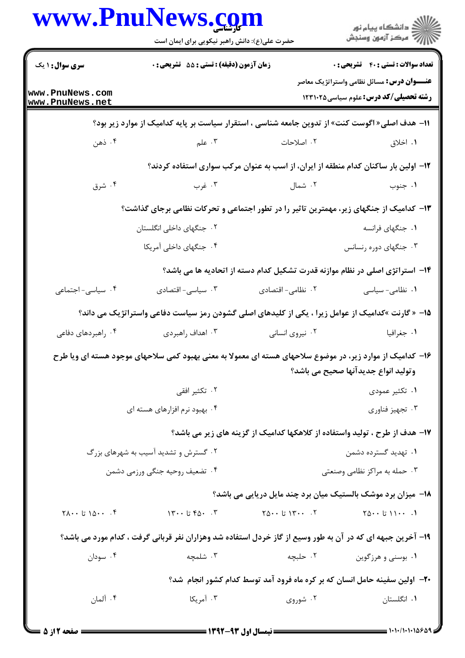|                                        | حضرت علی(ع): دانش راهبر نیکویی برای ایمان است                                                              |                                                                                     | ِ<br>∭ دانشڪاه پيام نور<br>∭ مرڪز آزمون وسنڊش                                                     |
|----------------------------------------|------------------------------------------------------------------------------------------------------------|-------------------------------------------------------------------------------------|---------------------------------------------------------------------------------------------------|
| <b>سری سوال :</b> ۱ یک                 | زمان آزمون (دقیقه) : تستی : 55 تشریحی : 0                                                                  |                                                                                     | <b>تعداد سوالات : تستی : 40 قشریحی : 0</b>                                                        |
| www.PnuNews.com<br>www.PnuNews.net     |                                                                                                            |                                                                                     | <b>عنـــوان درس:</b> مسائل نظامی واستراتژیک معاصر<br><b>رشته تحصیلی/کد درس:</b> علوم سیاسی1۲۳۱۰۲۵ |
|                                        | 11– هدف اصلی« اگوست کنت» از تدوین جامعه شناسی ، استقرار سیاست بر پایه کدامیک از موارد زیر بود؟             |                                                                                     |                                                                                                   |
| ۰۴ ذهن                                 | ۰۳ علم                                                                                                     | ۰۲ اصلاحات                                                                          | ۰۱ اخلاق                                                                                          |
|                                        |                                                                                                            | ۱۲– اولین بار ساکنان کدام منطقه از ایران، از اسب به عنوان مرکب سواری استفاده کردند؟ |                                                                                                   |
| ۰۴ شرق                                 | ۰۳ غرب                                                                                                     | ۰۲ شمال                                                                             | ۰۱ جنوب                                                                                           |
|                                        | ۱۳– کدامیک از جنگهای زیر، مهمترین تاثیر را در تطور اجتماعی و تحرکات نظامی برجای گذاشت؟                     |                                                                                     |                                                                                                   |
|                                        | ۰۲ جنگهای داخلی انگلستان                                                                                   |                                                                                     | ۰۱ جنگهای فرانسه                                                                                  |
|                                        | ۰۴ جنگهای داخلی آمریکا                                                                                     |                                                                                     | ۰۳ جنگهای دوره رنسانس                                                                             |
|                                        |                                                                                                            | ۱۴– استراتژی اصلی در نظام موازنه قدرت تشکیل کدام دسته از اتحادیه ها می باشد؟        |                                                                                                   |
| ۰۴ سیاسی- اجتماعی                      | ۰۳ سیاسی- اقتصادی                                                                                          | ۰۲ نظامی- اقتصادی                                                                   | ۰۱ نظامی- سیاسی                                                                                   |
|                                        | 1۵– « گارنت »کدامیک از عوامل زیرا ، یکی از کلیدهای اصلی گشودن رمز سیاست دفاعی واستراتژیک می داند؟          |                                                                                     |                                                                                                   |
| ۰۴ راهبردهای دفاعی                     | ۰۳ اهداف راهبردی                                                                                           | ۰۲ نیروی انسانی                                                                     | ٠١ جغرافيا                                                                                        |
|                                        | ۱۶– کدامیک از موارد زیر، در موضوع سلاحهای هسته ای معمولا به معنی بهبود کمی سلاحهای موجود هسته ای ویا طرح   |                                                                                     | وتولید انواع جدیدآنها صحیح می باشد؟                                                               |
|                                        | ۰۲ تکثیر افقی                                                                                              |                                                                                     | ۰۱ تکثیر عمودی                                                                                    |
|                                        | ۰۴ بهبود نرم افزارهای هسته ای                                                                              |                                                                                     | ۰۳ تجهيز فناوري                                                                                   |
|                                        |                                                                                                            | ۱۷– هدف از طرح ، تولید واستفاده از کلاهکها کدامیک از گزینه های زیر می باشد؟         |                                                                                                   |
|                                        | ۰۲ گسترش و تشدید آسیب به شهرهای بزرگ                                                                       |                                                                                     | ۰۱ تهدید گسترده دشمن                                                                              |
|                                        | ۰۴ تضعیف روحیه جنگی ورزمی دشمن                                                                             |                                                                                     | ۰۳ حمله به مراکز نظامی وصنعتی                                                                     |
|                                        |                                                                                                            | 18- میزان برد موشک بالستیک میان برد چند مایل دریایی می باشد؟                        |                                                                                                   |
| $Y \wedge \cdots$ 1۵۰۰ تا $Y \wedge Y$ | $\Upsilon \cdot \cdot$ تا ۱۳۰۰ $\Upsilon$                                                                  | $\begin{bmatrix} 1 & 0 & 0 \\ 0 & 1 & 0 \\ 0 & 0 & 1 \end{bmatrix}$                 | $10 - 11 - 11$                                                                                    |
|                                        | ۱۹- آخرین جبهه ای که در آن به طور وسیع از گاز خردل استفاده شد وهزاران نفر قربانی گرفت ، کدام مورد می باشد؟ |                                                                                     |                                                                                                   |
| ۰۴ سودان                               | ۰۳ شلمچه                                                                                                   | ۰۲ حلبچه                                                                            | ۰۱ بوسنی و هرزگوین                                                                                |
|                                        |                                                                                                            | +۲- اولین سفینه حامل انسان که بر کره ماه فرود آمد توسط کدام کشور انجام شد؟          |                                                                                                   |
| ۰۴ آلمان                               | ۰۳ آمریکا                                                                                                  | ۰۲ شوروی                                                                            | ۰۱ انگلستان                                                                                       |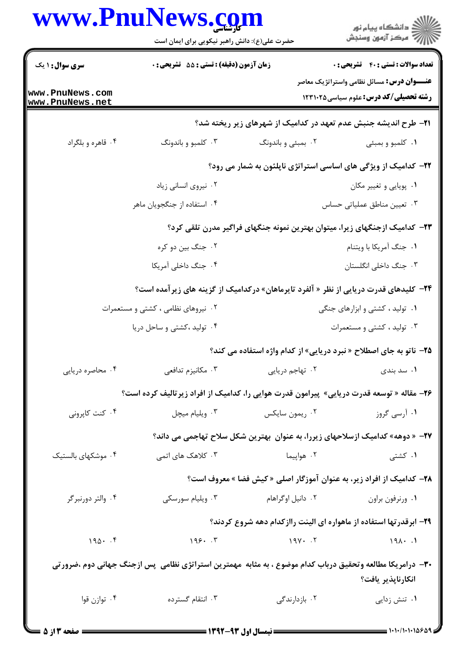|                                    | <b>www.PnuNews.com</b><br>حضرت علی(ع): دانش راهبر نیکویی برای ایمان است                                    |                                                                                      | د دانشڪاه پيام نور<br>7- مرڪز آزمون وسنڊش                                                         |  |
|------------------------------------|------------------------------------------------------------------------------------------------------------|--------------------------------------------------------------------------------------|---------------------------------------------------------------------------------------------------|--|
| <b>سری سوال : ۱ یک</b>             | زمان آزمون (دقیقه) : تستی : 55 آتشریحی : 0                                                                 |                                                                                      | <b>تعداد سوالات : تستي : 40 - تشريحي : 0</b>                                                      |  |
| www.PnuNews.com<br>www.PnuNews.net |                                                                                                            |                                                                                      | <b>عنـــوان درس:</b> مسائل نظامی واستراتژیک معاصر<br><b>رشته تحصیلی/کد درس:</b> علوم سیاسی1۲۳۱۰۲۵ |  |
|                                    |                                                                                                            | <b>۲۱</b> - طرح اندیشه جنبش عدم تعهد در کدامیک از شهرهای زیر ریخته شد؟               |                                                                                                   |  |
| ۰۴ قاهره و بلگراد                  | ۰۳ کلمبو و باندونگ                                                                                         | ۰۲ بمبئی و باندونگ                                                                   | ۰۱ کلمبو و بمبئی                                                                                  |  |
|                                    | ۲۲– کدامیک از ویژگی های اساسی استراتژی ناپلئون به شمار می رود؟                                             |                                                                                      |                                                                                                   |  |
|                                    | ۰۲ نیروی انسانی زیاد                                                                                       |                                                                                      | ۰۱ پویایی و تغییر مکان                                                                            |  |
|                                    | ۰۴ استفاده از جنگجویان ماهر                                                                                |                                                                                      | ۰۳ تعیین مناطق عملیاتی حساس                                                                       |  |
|                                    |                                                                                                            | ۲۳– کدامیک ازجنگهای زیرا، میتوان بهترین نمونه جنگهای فراگیر مدرن تلقی کرد؟           |                                                                                                   |  |
|                                    | ۰۲ جنگ بین دو کره                                                                                          |                                                                                      | ٠١ جنگ آمريكا با ويتنام                                                                           |  |
|                                    | ۰۴ جنگ داخلی آمریکا                                                                                        |                                                                                      | ۰۳ جنگ داخلی انگلستان                                                                             |  |
|                                    | <b>۲۴</b> - کلیدهای قدرت دریایی از نظر « آلفرد تایرماهان» درکدامیک از گزینه های زیرآمده است؟               |                                                                                      |                                                                                                   |  |
|                                    | ۰۲ نیروهای نظامی ، کشتی و مستعمرات                                                                         |                                                                                      | ۰۱ تولید ، کشتی و ابزارهای جنگی                                                                   |  |
|                                    | ۰۴ تولید ، کشتی و ساحل دریا                                                                                |                                                                                      | ۰۳ تولید ، کشتی و مستعمرات                                                                        |  |
|                                    |                                                                                                            | <b>۲۵</b> - ناتو به جای اصطلاح « نبرد دریایی» از کدام واژه استفاده می کند؟           |                                                                                                   |  |
| ۰۴ محاصره دریایی                   | ۰۳ مکانیزم تدافعی                                                                                          | ٠٢ تهاجم دريايي                                                                      | ۰۱ سد بندی                                                                                        |  |
|                                    | ۲۶- مقاله « توسعه قدرت دریایی» پیرامون قدرت هوایی را، کدامیک از افراد زیرتالیف کرده است؟                   |                                                                                      |                                                                                                   |  |
| ۰۴ کنت کاپرونی                     | ۰۳ ویلیام میچل                                                                                             | ۰۲ ريمون سايکس                                                                       | ۰۱ آرسی گروز                                                                                      |  |
|                                    |                                                                                                            | <b>۲۷</b> - « دوهه» کدامیک ازسلاحهای زیررا، به عنوان بهترین شکل سلاح تهاجمی می داند؟ |                                                                                                   |  |
| ۰۴ موشکهای بالستیک                 | ۰۳ کلاهک های اتمی                                                                                          | ۰۲ هواپیما                                                                           | ۰۱ کشتی                                                                                           |  |
|                                    |                                                                                                            | <b>۳۸</b> – کدامیک از افراد زیر، به عنوان آموزگار اصلی « کیش فضا » معروف است؟        |                                                                                                   |  |
| ۰۴ والتر دورنبرگر                  | ۰۳ ویلیام سورسکی                                                                                           | ۰۲ دانیل اوگراهام                                                                    | ٠١ ورنرفون براون                                                                                  |  |
|                                    |                                                                                                            | ۲۹– ابرقدرتها استفاده از ماهواره ای الینت راازکدام دهه شروع کردند؟                   |                                                                                                   |  |
| $190 \cdot .9$                     | 199.7                                                                                                      | $19Y - 5Y$                                                                           | 191.1                                                                                             |  |
|                                    | ۳۰- درامریکا مطالعه وتحقیق درباب کدام موضوع ، به مثابه ًمهمترین استراتژی نظامی پس ازجنگ جهانی دوم ،ضرور تی |                                                                                      |                                                                                                   |  |
|                                    |                                                                                                            |                                                                                      | انكارناپذير يافت؟                                                                                 |  |
| ۰۴ توازن قوا                       | ۰۳ انتقام گسترده                                                                                           | ۰۲ بازدارندگی                                                                        | ۰۱ تنش زدایی                                                                                      |  |
|                                    |                                                                                                            |                                                                                      |                                                                                                   |  |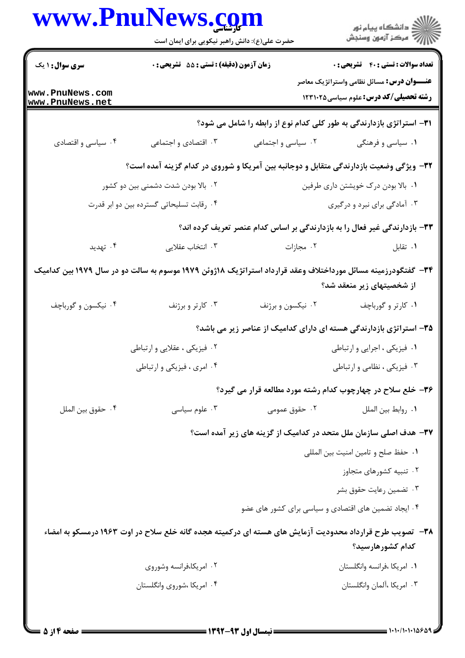| ڪ دانشڪاه پيام نور<br>//> مرڪز آزمون وسنڊش                                                        |                                                                                                               | حضرت علی(ع): دانش راهبر نیکویی برای ایمان است |                                    |
|---------------------------------------------------------------------------------------------------|---------------------------------------------------------------------------------------------------------------|-----------------------------------------------|------------------------------------|
| <b>تعداد سوالات : تستي : 40 - تشريحي : 0</b>                                                      |                                                                                                               | زمان آزمون (دقیقه) : تستی : 55 آتشریحی : 0    | <b>سری سوال : ۱ یک</b>             |
| <b>عنـــوان درس:</b> مسائل نظامی واستراتژیک معاصر<br><b>رشته تحصیلی/کد درس:</b> علوم سیاسی1۲۳۱۰۲۵ |                                                                                                               |                                               | www.PnuNews.com<br>www.PnuNews.net |
|                                                                                                   | <b>۳۱</b> - استراتژی بازدارندگی به طور کلی کدام نوع از رابطه را شامل می شود؟                                  |                                               |                                    |
| ۰۱ سیاسی و فرهنگی                                                                                 | ۰۲ سیاسی و اجتماعی                                                                                            | ۰۳ اقتصادی و اجتماعی                          | ۰۴ سیاسی و اقتصادی                 |
|                                                                                                   | ۳۲– ویژگی وضعیت بازدارندگی متقابل و دوجانبه بین آمریکا و شوروی در کدام گزینه آمده است؟                        |                                               |                                    |
| ۰۱ بالا بودن درک خویشتن داری طرفین                                                                |                                                                                                               | ۰۲ بالا بودن شدت دشمنی بین دو کشور            |                                    |
| ۰۳ آمادگی برای نبرد و درگیری                                                                      |                                                                                                               | ۰۴ رقابت تسلیحاتی گسترده بین دو ابر قدرت      |                                    |
|                                                                                                   | ۳۳- بازدارندگی غیر فعال را به بازدارندگی بر اساس کدام عنصر تعریف کرده اند؟                                    |                                               |                                    |
| ۰۱ تقابل                                                                                          | ۰۲ مجازات                                                                                                     | ۰۳ انتخاب عقلایی                              | ۰۴ تهدید                           |
| از شخصیتهای زیر منعقد شد؟                                                                         | ۳۴ - گفتگودرزمینه مسائل مورداختلاف وعقد قرارداد استراتژیک ۱۸ژوئن ۱۹۷۹ موسوم به سالت دو در سال ۱۹۷۹ بین کدامیک |                                               |                                    |
| ۰۱ کارتر و گورباچف                                                                                | ۰۲ نیکسون و برژنف                                                                                             | ۰۳ کارتر و برژنف                              | ۰۴ نیکسون و گورباچف                |
| ۳۵– استراتژی بازدارندگی هسته ای دارای کدامیک از عناصر زیر می باشد؟                                |                                                                                                               |                                               |                                    |
| ٠١ فيزيكي ، اجرايي و ارتباطي                                                                      |                                                                                                               | ۲. فیزیکی ، عقلایی و ارتباطی                  |                                    |
| ۰۳ فیزیکی ، نظامی و ارتباطی                                                                       |                                                                                                               | ۰۴ امري ، فيزيكي و ارتباطي                    |                                    |
|                                                                                                   | ۳۶- خلع سلاح در چهارچوب کدام رشته مورد مطالعه قرار می گیرد؟                                                   |                                               |                                    |
| ٠١. روابط بين الملل                                                                               | ۰۲ حقوق عمومی                                                                                                 | ۰۳ علوم سياسى                                 | ۰۴ حقوق بين الملل                  |
| ۳۷- هدف اصلی سازمان ملل متحد در کدامیک از گزینه های زیر آمده است؟                                 |                                                                                                               |                                               |                                    |
| ٠١ حفظ صلح و تامين امنيت بين المللي                                                               |                                                                                                               |                                               |                                    |
| ۰۲ تنبیه کشورهای متجاوز                                                                           |                                                                                                               |                                               |                                    |
| ۰۳ تضمین رعایت حقوق بشر                                                                           |                                                                                                               |                                               |                                    |
|                                                                                                   | ۰۴ ایجاد تضمین های اقتصادی و سیاسی برای کشور های عضو                                                          |                                               |                                    |
| كدام كشورهارسيد؟                                                                                  | ۳۸– تصویب طرح قرارداد محدودیت آزمایش های هسته ای درکمیته هجده گانه خلع سلاح در اوت ۱۹۶۳ درمسکو به امضاء       |                                               |                                    |
| ٠١. امريكا ،فرانسه وانگلستان                                                                      |                                                                                                               | ۰۲ امریکا،فرانسه وشوروی                       |                                    |
| ۰۳ امریکا ،آلمان وانگلستان                                                                        |                                                                                                               | ۰۴ امریکا ،شوروی وانگلستان                    |                                    |